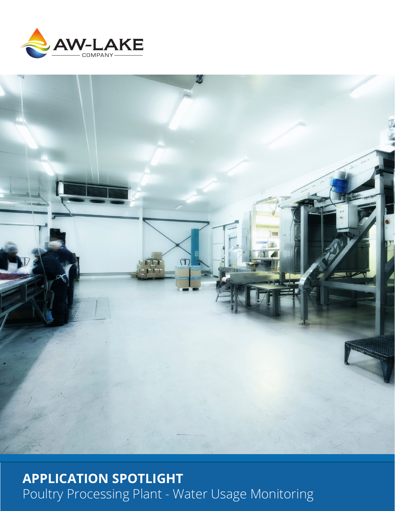



# **APPLICATION SPOTLIGHT** Poultry Processing Plant - Water Usage Monitoring